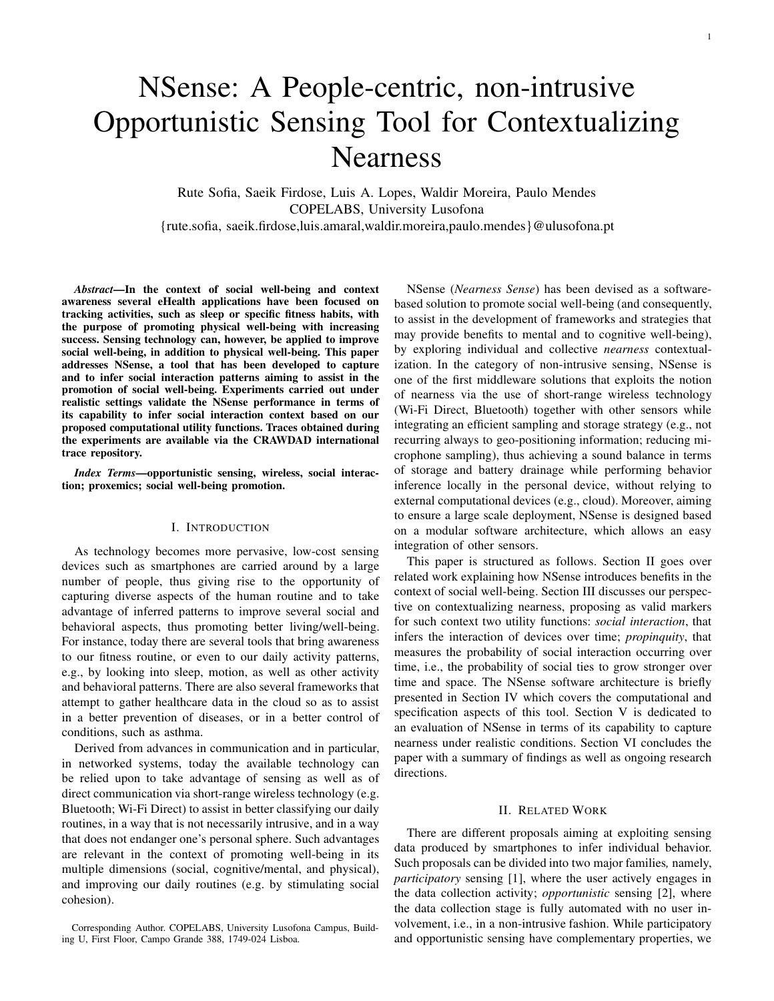# NSense: A People-centric, non-intrusive Opportunistic Sensing Tool for Contextualizing Nearness

Rute Sofia, Saeik Firdose, Luis A. Lopes, Waldir Moreira, Paulo Mendes COPELABS, University Lusofona {rute.sofia, saeik.firdose,luis.amaral,waldir.moreira,paulo.mendes}@ulusofona.pt

*Abstract*—In the context of social well-being and context awareness several eHealth applications have been focused on tracking activities, such as sleep or specific fitness habits, with the purpose of promoting physical well-being with increasing success. Sensing technology can, however, be applied to improve social well-being, in addition to physical well-being. This paper addresses NSense, a tool that has been developed to capture and to infer social interaction patterns aiming to assist in the promotion of social well-being. Experiments carried out under realistic settings validate the NSense performance in terms of its capability to infer social interaction context based on our proposed computational utility functions. Traces obtained during the experiments are available via the CRAWDAD international trace repository.

*Index Terms*—opportunistic sensing, wireless, social interaction; proxemics; social well-being promotion.

## I. INTRODUCTION

As technology becomes more pervasive, low-cost sensing devices such as smartphones are carried around by a large number of people, thus giving rise to the opportunity of capturing diverse aspects of the human routine and to take advantage of inferred patterns to improve several social and behavioral aspects, thus promoting better living/well-being. For instance, today there are several tools that bring awareness to our fitness routine, or even to our daily activity patterns, e.g., by looking into sleep, motion, as well as other activity and behavioral patterns. There are also several frameworks that attempt to gather healthcare data in the cloud so as to assist in a better prevention of diseases, or in a better control of conditions, such as asthma.

Derived from advances in communication and in particular, in networked systems, today the available technology can be relied upon to take advantage of sensing as well as of direct communication via short-range wireless technology (e.g. Bluetooth; Wi-Fi Direct) to assist in better classifying our daily routines, in a way that is not necessarily intrusive, and in a way that does not endanger one's personal sphere. Such advantages are relevant in the context of promoting well-being in its multiple dimensions (social, cognitive/mental, and physical), and improving our daily routines (e.g. by stimulating social cohesion).

NSense (*Nearness Sense*) has been devised as a softwarebased solution to promote social well-being (and consequently, to assist in the development of frameworks and strategies that may provide benefits to mental and to cognitive well-being), by exploring individual and collective *nearness* contextualization. In the category of non-intrusive sensing, NSense is one of the first middleware solutions that exploits the notion of nearness via the use of short-range wireless technology (Wi-Fi Direct, Bluetooth) together with other sensors while integrating an efficient sampling and storage strategy (e.g., not recurring always to geo-positioning information; reducing microphone sampling), thus achieving a sound balance in terms of storage and battery drainage while performing behavior inference locally in the personal device, without relying to external computational devices (e.g., cloud). Moreover, aiming to ensure a large scale deployment, NSense is designed based on a modular software architecture, which allows an easy integration of other sensors.

This paper is structured as follows. Section II goes over related work explaining how NSense introduces benefits in the context of social well-being. Section III discusses our perspective on contextualizing nearness, proposing as valid markers for such context two utility functions: *social interaction*, that infers the interaction of devices over time; *propinquity*, that measures the probability of social interaction occurring over time, i.e., the probability of social ties to grow stronger over time and space. The NSense software architecture is briefly presented in Section IV which covers the computational and specification aspects of this tool. Section V is dedicated to an evaluation of NSense in terms of its capability to capture nearness under realistic conditions. Section VI concludes the paper with a summary of findings as well as ongoing research directions.

#### II. RELATED WORK

There are different proposals aiming at exploiting sensing data produced by smartphones to infer individual behavior. Such proposals can be divided into two major families*,* namely, *participatory* sensing [1], where the user actively engages in the data collection activity; *opportunistic* sensing [2], where the data collection stage is fully automated with no user involvement, i.e., in a non-intrusive fashion. While participatory and opportunistic sensing have complementary properties, we

Corresponding Author. COPELABS, University Lusofona Campus, Building U, First Floor, Campo Grande 388, 1749-024 Lisboa.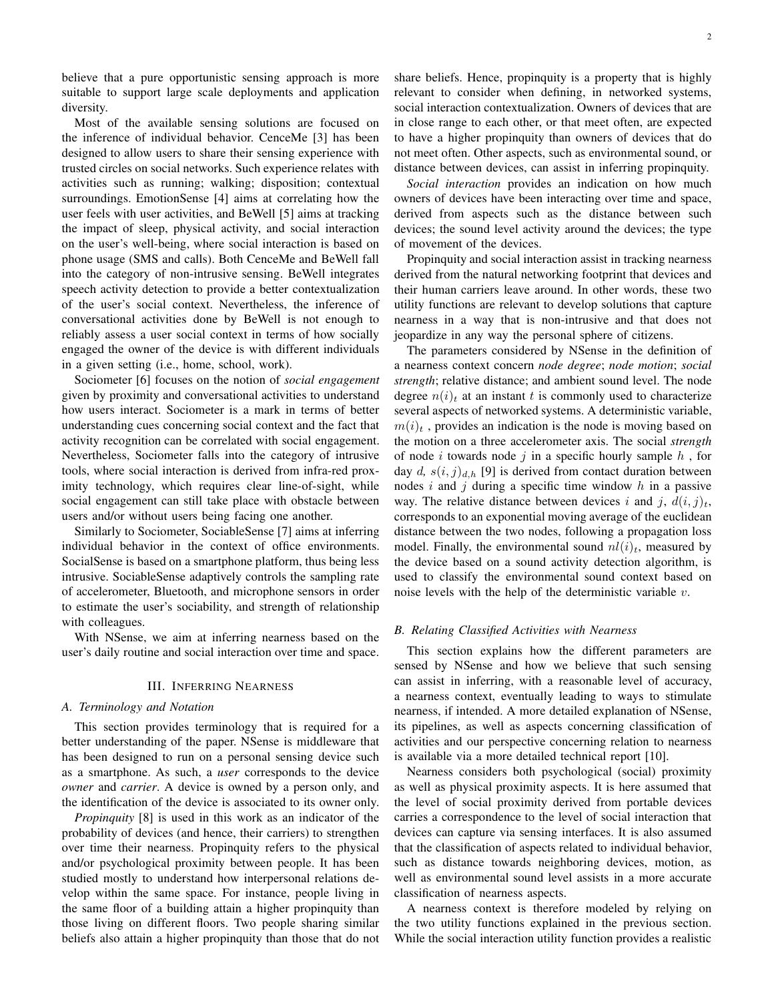believe that a pure opportunistic sensing approach is more suitable to support large scale deployments and application diversity.

Most of the available sensing solutions are focused on the inference of individual behavior. CenceMe [3] has been designed to allow users to share their sensing experience with trusted circles on social networks. Such experience relates with activities such as running; walking; disposition; contextual surroundings. EmotionSense [4] aims at correlating how the user feels with user activities, and BeWell [5] aims at tracking the impact of sleep, physical activity, and social interaction on the user's well-being, where social interaction is based on phone usage (SMS and calls). Both CenceMe and BeWell fall into the category of non-intrusive sensing. BeWell integrates speech activity detection to provide a better contextualization of the user's social context. Nevertheless, the inference of conversational activities done by BeWell is not enough to reliably assess a user social context in terms of how socially engaged the owner of the device is with different individuals in a given setting (i.e., home, school, work).

Sociometer [6] focuses on the notion of *social engagement* given by proximity and conversational activities to understand how users interact. Sociometer is a mark in terms of better understanding cues concerning social context and the fact that activity recognition can be correlated with social engagement. Nevertheless, Sociometer falls into the category of intrusive tools, where social interaction is derived from infra-red proximity technology, which requires clear line-of-sight, while social engagement can still take place with obstacle between users and/or without users being facing one another.

Similarly to Sociometer, SociableSense [7] aims at inferring individual behavior in the context of office environments. SocialSense is based on a smartphone platform, thus being less intrusive. SociableSense adaptively controls the sampling rate of accelerometer, Bluetooth, and microphone sensors in order to estimate the user's sociability, and strength of relationship with colleagues.

With NSense, we aim at inferring nearness based on the user's daily routine and social interaction over time and space.

## III. INFERRING NEARNESS

## *A. Terminology and Notation*

This section provides terminology that is required for a better understanding of the paper. NSense is middleware that has been designed to run on a personal sensing device such as a smartphone. As such, a *user* corresponds to the device *owner* and *carrier*. A device is owned by a person only, and the identification of the device is associated to its owner only.

*Propinquity* [8] is used in this work as an indicator of the probability of devices (and hence, their carriers) to strengthen over time their nearness. Propinquity refers to the physical and/or psychological proximity between people. It has been studied mostly to understand how interpersonal relations develop within the same space. For instance, people living in the same floor of a building attain a higher propinquity than those living on different floors. Two people sharing similar beliefs also attain a higher propinquity than those that do not share beliefs. Hence, propinquity is a property that is highly relevant to consider when defining, in networked systems, social interaction contextualization. Owners of devices that are in close range to each other, or that meet often, are expected to have a higher propinquity than owners of devices that do not meet often. Other aspects, such as environmental sound, or distance between devices, can assist in inferring propinquity.

*Social interaction* provides an indication on how much owners of devices have been interacting over time and space, derived from aspects such as the distance between such devices; the sound level activity around the devices; the type of movement of the devices.

Propinquity and social interaction assist in tracking nearness derived from the natural networking footprint that devices and their human carriers leave around. In other words, these two utility functions are relevant to develop solutions that capture nearness in a way that is non-intrusive and that does not jeopardize in any way the personal sphere of citizens.

The parameters considered by NSense in the definition of a nearness context concern *node degree*; *node motion*; *social strength*; relative distance; and ambient sound level. The node degree  $n(i)<sub>t</sub>$  at an instant t is commonly used to characterize several aspects of networked systems. A deterministic variable,  $m(i)_t$ , provides an indication is the node is moving based on the motion on a three accelerometer axis. The social *strength* of node i towards node j in a specific hourly sample  $h$ , for day  $d$ ,  $s(i, j)_{d,h}$  [9] is derived from contact duration between nodes  $i$  and  $j$  during a specific time window  $h$  in a passive way. The relative distance between devices i and j,  $d(i, j)_t$ , corresponds to an exponential moving average of the euclidean distance between the two nodes, following a propagation loss model. Finally, the environmental sound  $nl(i)<sub>t</sub>$ , measured by the device based on a sound activity detection algorithm, is used to classify the environmental sound context based on noise levels with the help of the deterministic variable  $v$ .

### *B. Relating Classified Activities with Nearness*

This section explains how the different parameters are sensed by NSense and how we believe that such sensing can assist in inferring, with a reasonable level of accuracy, a nearness context, eventually leading to ways to stimulate nearness, if intended. A more detailed explanation of NSense, its pipelines, as well as aspects concerning classification of activities and our perspective concerning relation to nearness is available via a more detailed technical report [10].

Nearness considers both psychological (social) proximity as well as physical proximity aspects. It is here assumed that the level of social proximity derived from portable devices carries a correspondence to the level of social interaction that devices can capture via sensing interfaces. It is also assumed that the classification of aspects related to individual behavior, such as distance towards neighboring devices, motion, as well as environmental sound level assists in a more accurate classification of nearness aspects.

A nearness context is therefore modeled by relying on the two utility functions explained in the previous section. While the social interaction utility function provides a realistic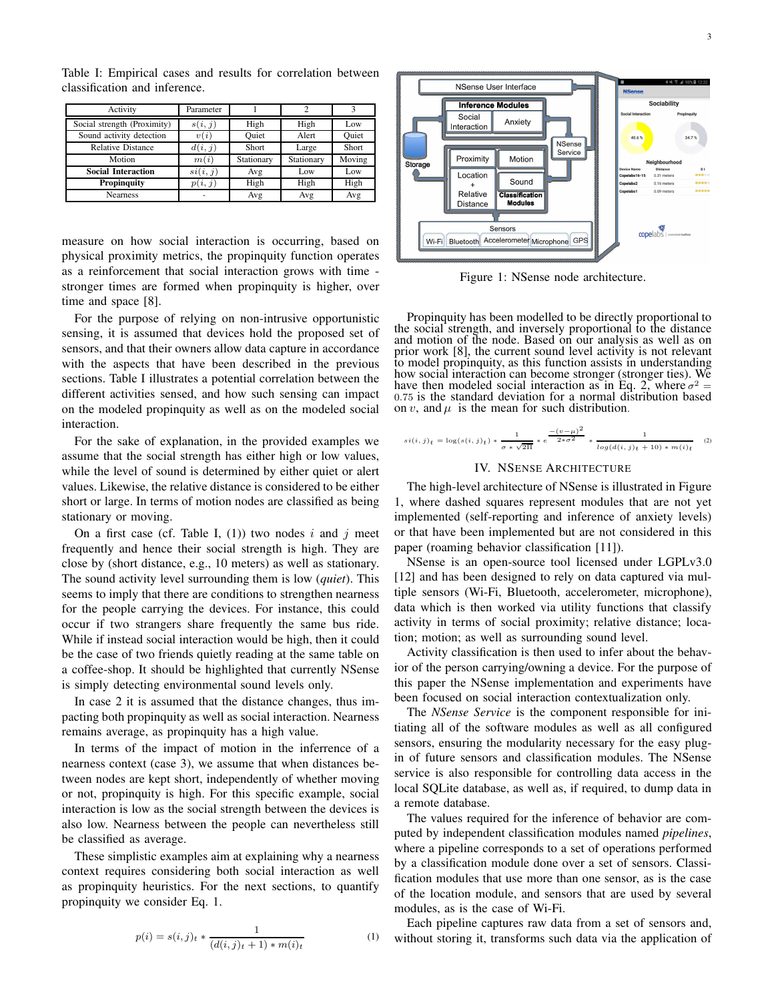Table I: Empirical cases and results for correlation between classification and inference.

| Activity                    | Parameter |            | っ          | ٩      |
|-----------------------------|-----------|------------|------------|--------|
| Social strength (Proximity) | s(i, j)   | High       | High       | Low    |
| Sound activity detection    | v(i)      | Ouiet      | Alert      | Ouiet  |
| <b>Relative Distance</b>    | d(i, j)   | Short      | Large      | Short  |
| Motion                      | m(i)      | Stationary | Stationary | Moving |
| <b>Social Interaction</b>   | si(i, j)  | Avg        | Low        | Low    |
| <b>Propinquity</b>          | p(i, j)   | High       | High       | High   |
| <b>Nearness</b>             | ۰         | Avg        | Avg        | Avg    |

measure on how social interaction is occurring, based on physical proximity metrics, the propinquity function operates as a reinforcement that social interaction grows with time stronger times are formed when propinquity is higher, over time and space [8].

For the purpose of relying on non-intrusive opportunistic sensing, it is assumed that devices hold the proposed set of sensors, and that their owners allow data capture in accordance with the aspects that have been described in the previous sections. Table I illustrates a potential correlation between the different activities sensed, and how such sensing can impact on the modeled propinquity as well as on the modeled social interaction.

For the sake of explanation, in the provided examples we assume that the social strength has either high or low values, while the level of sound is determined by either quiet or alert values. Likewise, the relative distance is considered to be either short or large. In terms of motion nodes are classified as being stationary or moving.

On a first case (cf. Table I,  $(1)$ ) two nodes i and j meet frequently and hence their social strength is high. They are close by (short distance, e.g., 10 meters) as well as stationary. The sound activity level surrounding them is low (*quiet*). This seems to imply that there are conditions to strengthen nearness for the people carrying the devices. For instance, this could occur if two strangers share frequently the same bus ride. While if instead social interaction would be high, then it could be the case of two friends quietly reading at the same table on a coffee-shop. It should be highlighted that currently NSense is simply detecting environmental sound levels only.

In case 2 it is assumed that the distance changes, thus impacting both propinquity as well as social interaction. Nearness remains average, as propinquity has a high value.

In terms of the impact of motion in the inferrence of a nearness context (case 3), we assume that when distances between nodes are kept short, independently of whether moving or not, propinquity is high. For this specific example, social interaction is low as the social strength between the devices is also low. Nearness between the people can nevertheless still be classified as average.

These simplistic examples aim at explaining why a nearness context requires considering both social interaction as well as propinquity heuristics. For the next sections, to quantify propinquity we consider Eq. 1.

$$
p(i) = s(i, j) \cdot \frac{1}{(d(i, j) \cdot t + 1) * m(i) \cdot t} \tag{1}
$$



Figure 1: NSense node architecture.

Propinquity has been modelled to be directly proportional to the social strength, and inversely proportional to the distance and motion of the node. Based on our analysis as well as on prior work [8], the current sound level activity is not relevant to model propinquity, as this function assists in understanding how social interaction can become stronger (stronger ties). We have then modeled social interaction as in Eq. 2, where  $\sigma^2$  = 0.75 is the standard deviation for a normal distribution based on v, and  $\mu$  is the mean for such distribution.

$$
si(i,j)_t = \log(s(i,j)_t) * \frac{1}{\sigma * \sqrt{2\Pi}} * e^{-\frac{(v-\mu)^2}{2*\sigma^2}} * \frac{1}{\log(d(i,j)_t+10) * m(i)_t}
$$
(2)

## IV. NSENSE ARCHITECTURE

The high-level architecture of NSense is illustrated in Figure 1, where dashed squares represent modules that are not yet implemented (self-reporting and inference of anxiety levels) or that have been implemented but are not considered in this paper (roaming behavior classification [11]).

NSense is an open-source tool licensed under LGPLv3.0 [12] and has been designed to rely on data captured via multiple sensors (Wi-Fi, Bluetooth, accelerometer, microphone), data which is then worked via utility functions that classify activity in terms of social proximity; relative distance; location; motion; as well as surrounding sound level.

Activity classification is then used to infer about the behavior of the person carrying/owning a device. For the purpose of this paper the NSense implementation and experiments have been focused on social interaction contextualization only.

The *NSense Service* is the component responsible for initiating all of the software modules as well as all configured sensors, ensuring the modularity necessary for the easy plugin of future sensors and classification modules. The NSense service is also responsible for controlling data access in the local SQLite database, as well as, if required, to dump data in a remote database.

The values required for the inference of behavior are computed by independent classification modules named *pipelines*, where a pipeline corresponds to a set of operations performed by a classification module done over a set of sensors. Classification modules that use more than one sensor, as is the case of the location module, and sensors that are used by several modules, as is the case of Wi-Fi.

Each pipeline captures raw data from a set of sensors and, without storing it, transforms such data via the application of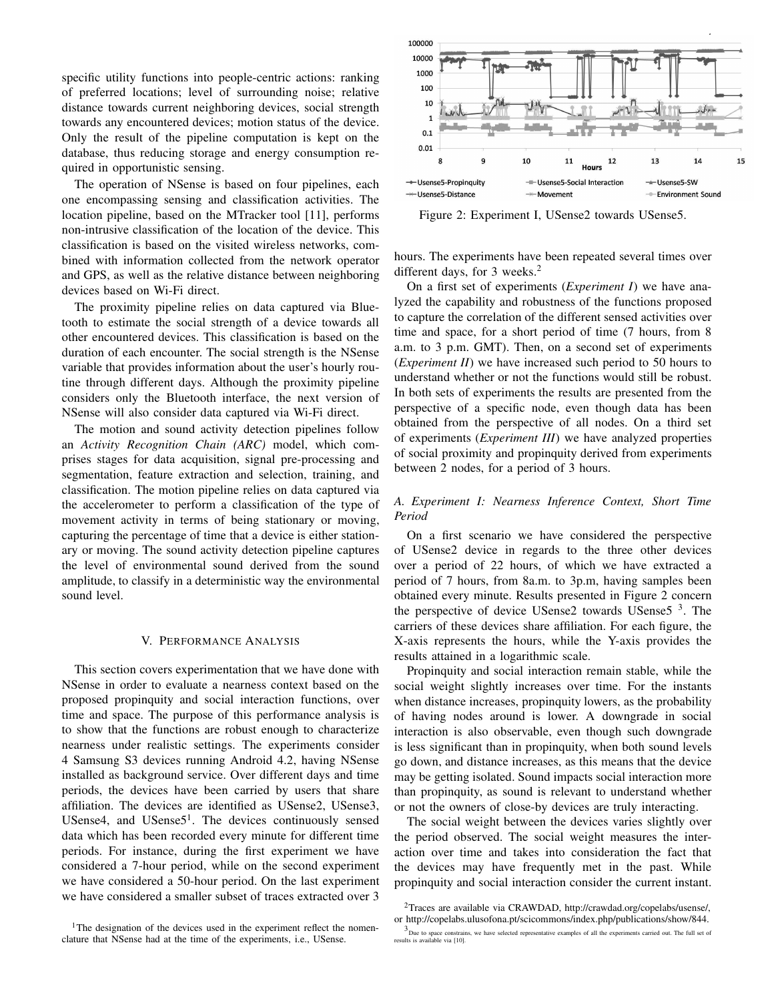specific utility functions into people-centric actions: ranking of preferred locations; level of surrounding noise; relative distance towards current neighboring devices, social strength towards any encountered devices; motion status of the device. Only the result of the pipeline computation is kept on the database, thus reducing storage and energy consumption required in opportunistic sensing.

The operation of NSense is based on four pipelines, each one encompassing sensing and classification activities. The location pipeline, based on the MTracker tool [11], performs non-intrusive classification of the location of the device. This classification is based on the visited wireless networks, combined with information collected from the network operator and GPS, as well as the relative distance between neighboring devices based on Wi-Fi direct.

The proximity pipeline relies on data captured via Bluetooth to estimate the social strength of a device towards all other encountered devices. This classification is based on the duration of each encounter. The social strength is the NSense variable that provides information about the user's hourly routine through different days. Although the proximity pipeline considers only the Bluetooth interface, the next version of NSense will also consider data captured via Wi-Fi direct.

The motion and sound activity detection pipelines follow an *Activity Recognition Chain (ARC)* model, which comprises stages for data acquisition, signal pre-processing and segmentation, feature extraction and selection, training, and classification. The motion pipeline relies on data captured via the accelerometer to perform a classification of the type of movement activity in terms of being stationary or moving, capturing the percentage of time that a device is either stationary or moving. The sound activity detection pipeline captures the level of environmental sound derived from the sound amplitude, to classify in a deterministic way the environmental sound level.

## V. PERFORMANCE ANALYSIS

This section covers experimentation that we have done with NSense in order to evaluate a nearness context based on the proposed propinquity and social interaction functions, over time and space. The purpose of this performance analysis is to show that the functions are robust enough to characterize nearness under realistic settings. The experiments consider 4 Samsung S3 devices running Android 4.2, having NSense installed as background service. Over different days and time periods, the devices have been carried by users that share affiliation. The devices are identified as USense2, USense3, USense4, and USense5<sup>1</sup>. The devices continuously sensed data which has been recorded every minute for different time periods. For instance, during the first experiment we have considered a 7-hour period, while on the second experiment we have considered a 50-hour period. On the last experiment we have considered a smaller subset of traces extracted over 3





Figure 2: Experiment I, USense2 towards USense5.

hours. The experiments have been repeated several times over different days, for 3 weeks.<sup>2</sup>

On a first set of experiments (*Experiment I*) we have analyzed the capability and robustness of the functions proposed to capture the correlation of the different sensed activities over time and space, for a short period of time (7 hours, from 8 a.m. to 3 p.m. GMT). Then, on a second set of experiments (*Experiment II*) we have increased such period to 50 hours to understand whether or not the functions would still be robust. In both sets of experiments the results are presented from the perspective of a specific node, even though data has been obtained from the perspective of all nodes. On a third set of experiments (*Experiment III*) we have analyzed properties of social proximity and propinquity derived from experiments between 2 nodes, for a period of 3 hours.

# *A. Experiment I: Nearness Inference Context, Short Time Period*

On a first scenario we have considered the perspective of USense2 device in regards to the three other devices over a period of 22 hours, of which we have extracted a period of 7 hours, from 8a.m. to 3p.m, having samples been obtained every minute. Results presented in Figure 2 concern the perspective of device USense2 towards USense5<sup>3</sup>. The carriers of these devices share affiliation. For each figure, the X-axis represents the hours, while the Y-axis provides the results attained in a logarithmic scale.

Propinquity and social interaction remain stable, while the social weight slightly increases over time. For the instants when distance increases, propinquity lowers, as the probability of having nodes around is lower. A downgrade in social interaction is also observable, even though such downgrade is less significant than in propinquity, when both sound levels go down, and distance increases, as this means that the device may be getting isolated. Sound impacts social interaction more than propinquity, as sound is relevant to understand whether or not the owners of close-by devices are truly interacting.

The social weight between the devices varies slightly over the period observed. The social weight measures the interaction over time and takes into consideration the fact that the devices may have frequently met in the past. While propinquity and social interaction consider the current instant.

<sup>2</sup>Traces are available via CRAWDAD, http://crawdad.org/copelabs/usense/, or http://copelabs.ulusofona.pt/scicommons/index.php/publications/show/844.

<sup>3</sup> trains, we have selected representative examples of all the experiments carried out. The full set of results is available via [10].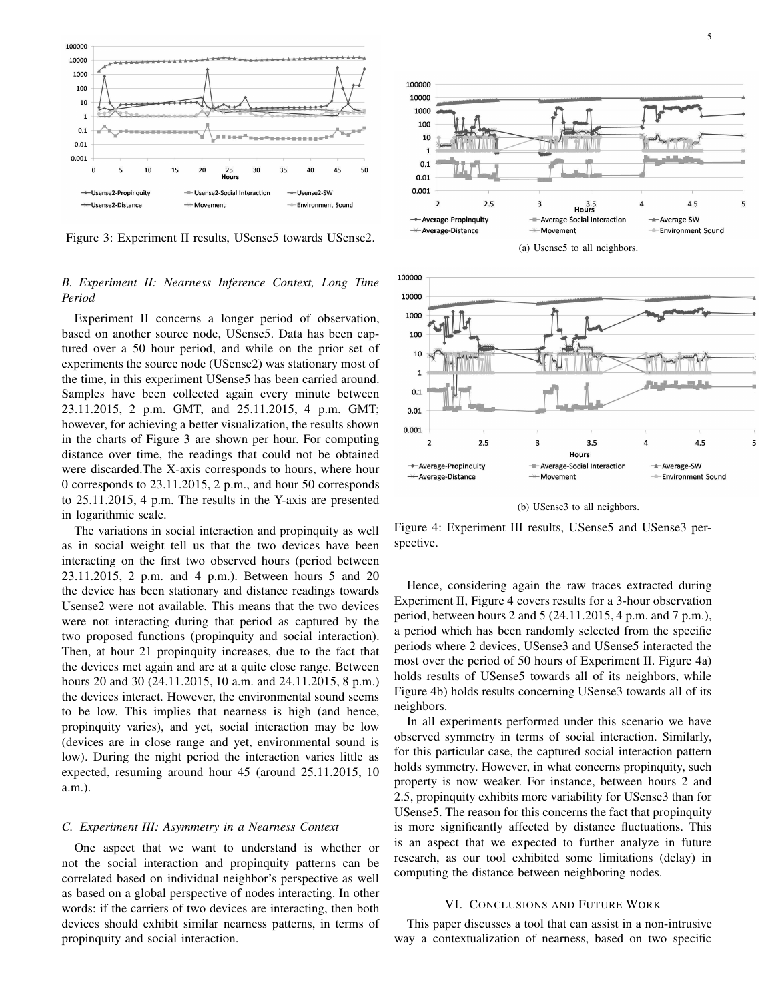

Figure 3: Experiment II results, USense5 towards USense2.

## *B. Experiment II: Nearness Inference Context, Long Time Period*

Experiment II concerns a longer period of observation, based on another source node, USense5. Data has been captured over a 50 hour period, and while on the prior set of experiments the source node (USense2) was stationary most of the time, in this experiment USense5 has been carried around. Samples have been collected again every minute between 23.11.2015, 2 p.m. GMT, and 25.11.2015, 4 p.m. GMT; however, for achieving a better visualization, the results shown in the charts of Figure 3 are shown per hour. For computing distance over time, the readings that could not be obtained were discarded.The X-axis corresponds to hours, where hour 0 corresponds to 23.11.2015, 2 p.m., and hour 50 corresponds to 25.11.2015, 4 p.m. The results in the Y-axis are presented in logarithmic scale.

The variations in social interaction and propinquity as well as in social weight tell us that the two devices have been interacting on the first two observed hours (period between 23.11.2015, 2 p.m. and 4 p.m.). Between hours 5 and 20 the device has been stationary and distance readings towards Usense2 were not available. This means that the two devices were not interacting during that period as captured by the two proposed functions (propinquity and social interaction). Then, at hour 21 propinquity increases, due to the fact that the devices met again and are at a quite close range. Between hours 20 and 30 (24.11.2015, 10 a.m. and 24.11.2015, 8 p.m.) the devices interact. However, the environmental sound seems to be low. This implies that nearness is high (and hence, propinquity varies), and yet, social interaction may be low (devices are in close range and yet, environmental sound is low). During the night period the interaction varies little as expected, resuming around hour 45 (around 25.11.2015, 10 a.m.).

## *C. Experiment III: Asymmetry in a Nearness Context*

One aspect that we want to understand is whether or not the social interaction and propinquity patterns can be correlated based on individual neighbor's perspective as well as based on a global perspective of nodes interacting. In other words: if the carriers of two devices are interacting, then both devices should exhibit similar nearness patterns, in terms of propinquity and social interaction.





(b) USense3 to all neighbors.

Figure 4: Experiment III results, USense5 and USense3 perspective.

Hence, considering again the raw traces extracted during Experiment II, Figure 4 covers results for a 3-hour observation period, between hours 2 and 5 (24.11.2015, 4 p.m. and 7 p.m.), a period which has been randomly selected from the specific periods where 2 devices, USense3 and USense5 interacted the most over the period of 50 hours of Experiment II. Figure 4a) holds results of USense5 towards all of its neighbors, while Figure 4b) holds results concerning USense3 towards all of its neighbors.

In all experiments performed under this scenario we have observed symmetry in terms of social interaction. Similarly, for this particular case, the captured social interaction pattern holds symmetry. However, in what concerns propinquity, such property is now weaker. For instance, between hours 2 and 2.5, propinquity exhibits more variability for USense3 than for USense5. The reason for this concerns the fact that propinquity is more significantly affected by distance fluctuations. This is an aspect that we expected to further analyze in future research, as our tool exhibited some limitations (delay) in computing the distance between neighboring nodes.

## VI. CONCLUSIONS AND FUTURE WORK

This paper discusses a tool that can assist in a non-intrusive way a contextualization of nearness, based on two specific